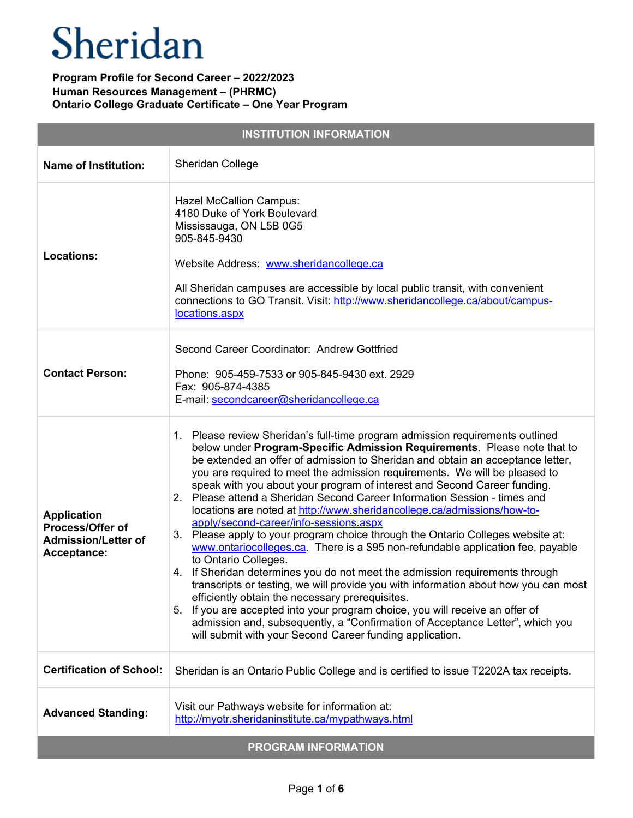| <b>INSTITUTION INFORMATION</b>                                                      |                                                                                                                                                                                                                                                                                                                                                                                                                                                                                                                                                                                                                                                                                                                                                                                                                                                                                                                                                                                                                                                                                                                                                                                                                                                               |  |
|-------------------------------------------------------------------------------------|---------------------------------------------------------------------------------------------------------------------------------------------------------------------------------------------------------------------------------------------------------------------------------------------------------------------------------------------------------------------------------------------------------------------------------------------------------------------------------------------------------------------------------------------------------------------------------------------------------------------------------------------------------------------------------------------------------------------------------------------------------------------------------------------------------------------------------------------------------------------------------------------------------------------------------------------------------------------------------------------------------------------------------------------------------------------------------------------------------------------------------------------------------------------------------------------------------------------------------------------------------------|--|
| <b>Name of Institution:</b>                                                         | Sheridan College                                                                                                                                                                                                                                                                                                                                                                                                                                                                                                                                                                                                                                                                                                                                                                                                                                                                                                                                                                                                                                                                                                                                                                                                                                              |  |
| <b>Locations:</b>                                                                   | <b>Hazel McCallion Campus:</b><br>4180 Duke of York Boulevard<br>Mississauga, ON L5B 0G5<br>905-845-9430<br>Website Address: www.sheridancollege.ca<br>All Sheridan campuses are accessible by local public transit, with convenient<br>connections to GO Transit. Visit: http://www.sheridancollege.ca/about/campus-<br>locations.aspx                                                                                                                                                                                                                                                                                                                                                                                                                                                                                                                                                                                                                                                                                                                                                                                                                                                                                                                       |  |
| <b>Contact Person:</b>                                                              | Second Career Coordinator: Andrew Gottfried<br>Phone: 905-459-7533 or 905-845-9430 ext. 2929<br>Fax: 905-874-4385<br>E-mail: secondcareer@sheridancollege.ca                                                                                                                                                                                                                                                                                                                                                                                                                                                                                                                                                                                                                                                                                                                                                                                                                                                                                                                                                                                                                                                                                                  |  |
| <b>Application</b><br>Process/Offer of<br><b>Admission/Letter of</b><br>Acceptance: | 1. Please review Sheridan's full-time program admission requirements outlined<br>below under Program-Specific Admission Requirements. Please note that to<br>be extended an offer of admission to Sheridan and obtain an acceptance letter,<br>you are required to meet the admission requirements. We will be pleased to<br>speak with you about your program of interest and Second Career funding.<br>2. Please attend a Sheridan Second Career Information Session - times and<br>locations are noted at http://www.sheridancollege.ca/admissions/how-to-<br>apply/second-career/info-sessions.aspx<br>3. Please apply to your program choice through the Ontario Colleges website at:<br>www.ontariocolleges.ca. There is a \$95 non-refundable application fee, payable<br>to Ontario Colleges.<br>4. If Sheridan determines you do not meet the admission requirements through<br>transcripts or testing, we will provide you with information about how you can most<br>efficiently obtain the necessary prerequisites.<br>5. If you are accepted into your program choice, you will receive an offer of<br>admission and, subsequently, a "Confirmation of Acceptance Letter", which you<br>will submit with your Second Career funding application. |  |
| <b>Certification of School:</b>                                                     | Sheridan is an Ontario Public College and is certified to issue T2202A tax receipts.                                                                                                                                                                                                                                                                                                                                                                                                                                                                                                                                                                                                                                                                                                                                                                                                                                                                                                                                                                                                                                                                                                                                                                          |  |
| <b>Advanced Standing:</b>                                                           | Visit our Pathways website for information at:<br>http://myotr.sheridaninstitute.ca/mypathways.html                                                                                                                                                                                                                                                                                                                                                                                                                                                                                                                                                                                                                                                                                                                                                                                                                                                                                                                                                                                                                                                                                                                                                           |  |
| <b>PROGRAM INFORMATION</b>                                                          |                                                                                                                                                                                                                                                                                                                                                                                                                                                                                                                                                                                                                                                                                                                                                                                                                                                                                                                                                                                                                                                                                                                                                                                                                                                               |  |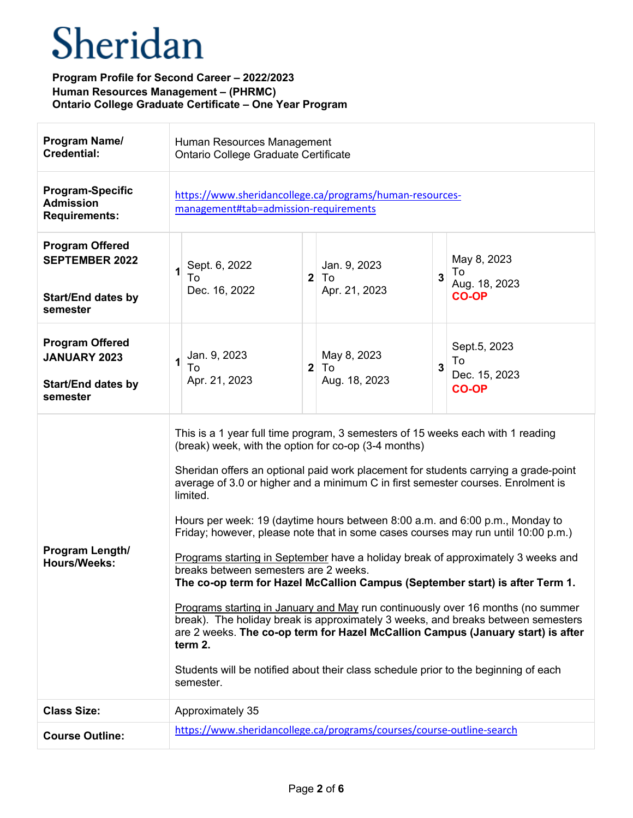| Program Name/<br><b>Credential:</b>                                                      | Human Resources Management<br>Ontario College Graduate Certificate                                                                                                                                                                                                                                                                                                                                                                                                                                                                                                                                                                                                                                                                                                                                                                                                                                                                                                                                                                                                                        |
|------------------------------------------------------------------------------------------|-------------------------------------------------------------------------------------------------------------------------------------------------------------------------------------------------------------------------------------------------------------------------------------------------------------------------------------------------------------------------------------------------------------------------------------------------------------------------------------------------------------------------------------------------------------------------------------------------------------------------------------------------------------------------------------------------------------------------------------------------------------------------------------------------------------------------------------------------------------------------------------------------------------------------------------------------------------------------------------------------------------------------------------------------------------------------------------------|
| <b>Program-Specific</b><br><b>Admission</b><br><b>Requirements:</b>                      | https://www.sheridancollege.ca/programs/human-resources-<br>management#tab=admission-requirements                                                                                                                                                                                                                                                                                                                                                                                                                                                                                                                                                                                                                                                                                                                                                                                                                                                                                                                                                                                         |
| <b>Program Offered</b><br><b>SEPTEMBER 2022</b><br><b>Start/End dates by</b><br>semester | May 8, 2023<br>Jan. 9, 2023<br>Sept. 6, 2022<br>To<br>2 <sup>1</sup><br>3<br>To<br>To<br>Aug. 18, 2023<br>Apr. 21, 2023<br>Dec. 16, 2022<br><b>CO-OP</b>                                                                                                                                                                                                                                                                                                                                                                                                                                                                                                                                                                                                                                                                                                                                                                                                                                                                                                                                  |
| <b>Program Offered</b><br><b>JANUARY 2023</b><br><b>Start/End dates by</b><br>semester   | Sept.5, 2023<br>Jan. 9, 2023<br>May 8, 2023<br>To<br>$\mathbf{3}$<br>$\mathbf{2}$<br>To<br>To<br>Dec. 15, 2023<br>Apr. 21, 2023<br>Aug. 18, 2023<br><b>CO-OP</b>                                                                                                                                                                                                                                                                                                                                                                                                                                                                                                                                                                                                                                                                                                                                                                                                                                                                                                                          |
| Program Length/<br><b>Hours/Weeks:</b>                                                   | This is a 1 year full time program, 3 semesters of 15 weeks each with 1 reading<br>(break) week, with the option for co-op (3-4 months)<br>Sheridan offers an optional paid work placement for students carrying a grade-point<br>average of 3.0 or higher and a minimum C in first semester courses. Enrolment is<br>limited.<br>Hours per week: 19 (daytime hours between 8:00 a.m. and 6:00 p.m., Monday to<br>Friday; however, please note that in some cases courses may run until 10:00 p.m.)<br>Programs starting in September have a holiday break of approximately 3 weeks and<br>breaks between semesters are 2 weeks.<br>The co-op term for Hazel McCallion Campus (September start) is after Term 1.<br>Programs starting in January and May run continuously over 16 months (no summer<br>break). The holiday break is approximately 3 weeks, and breaks between semesters<br>are 2 weeks. The co-op term for Hazel McCallion Campus (January start) is after<br>term 2.<br>Students will be notified about their class schedule prior to the beginning of each<br>semester. |
| <b>Class Size:</b>                                                                       | Approximately 35                                                                                                                                                                                                                                                                                                                                                                                                                                                                                                                                                                                                                                                                                                                                                                                                                                                                                                                                                                                                                                                                          |
| <b>Course Outline:</b>                                                                   | https://www.sheridancollege.ca/programs/courses/course-outline-search                                                                                                                                                                                                                                                                                                                                                                                                                                                                                                                                                                                                                                                                                                                                                                                                                                                                                                                                                                                                                     |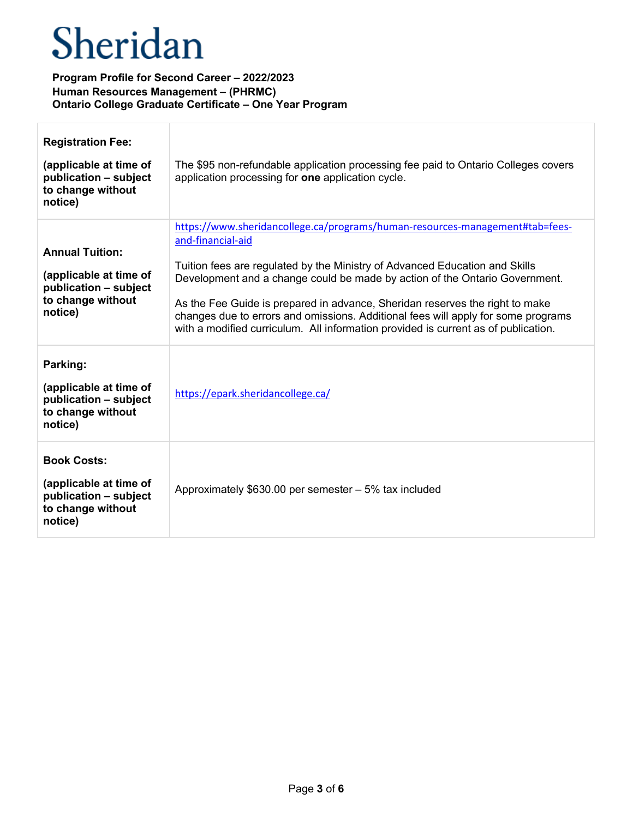| <b>Registration Fee:</b><br>(applicable at time of<br>publication - subject<br>to change without<br>notice) | The \$95 non-refundable application processing fee paid to Ontario Colleges covers<br>application processing for one application cycle.                                                                                                                                                                                                                                                                                                                                                                                    |
|-------------------------------------------------------------------------------------------------------------|----------------------------------------------------------------------------------------------------------------------------------------------------------------------------------------------------------------------------------------------------------------------------------------------------------------------------------------------------------------------------------------------------------------------------------------------------------------------------------------------------------------------------|
| <b>Annual Tuition:</b><br>(applicable at time of<br>publication - subject<br>to change without<br>notice)   | https://www.sheridancollege.ca/programs/human-resources-management#tab=fees-<br>and-financial-aid<br>Tuition fees are regulated by the Ministry of Advanced Education and Skills<br>Development and a change could be made by action of the Ontario Government.<br>As the Fee Guide is prepared in advance, Sheridan reserves the right to make<br>changes due to errors and omissions. Additional fees will apply for some programs<br>with a modified curriculum. All information provided is current as of publication. |
| Parking:<br>(applicable at time of<br>publication - subject<br>to change without<br>notice)                 | https://epark.sheridancollege.ca/                                                                                                                                                                                                                                                                                                                                                                                                                                                                                          |
| <b>Book Costs:</b><br>(applicable at time of<br>publication - subject<br>to change without<br>notice)       | Approximately $$630.00$ per semester $-5\%$ tax included                                                                                                                                                                                                                                                                                                                                                                                                                                                                   |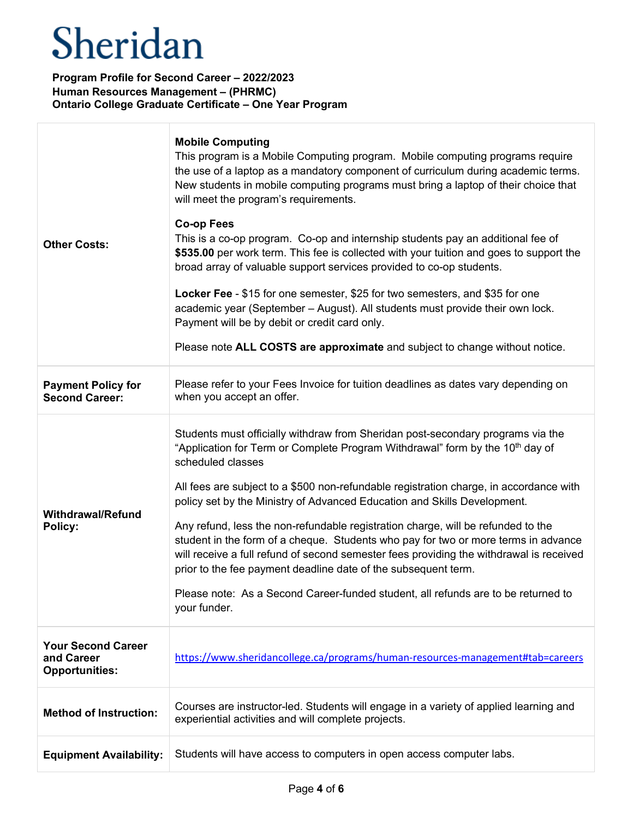| <b>Other Costs:</b>                                              | <b>Mobile Computing</b><br>This program is a Mobile Computing program. Mobile computing programs require<br>the use of a laptop as a mandatory component of curriculum during academic terms.<br>New students in mobile computing programs must bring a laptop of their choice that<br>will meet the program's requirements.<br><b>Co-op Fees</b><br>This is a co-op program. Co-op and internship students pay an additional fee of<br>\$535.00 per work term. This fee is collected with your tuition and goes to support the<br>broad array of valuable support services provided to co-op students.<br>Locker Fee - \$15 for one semester, \$25 for two semesters, and \$35 for one<br>academic year (September - August). All students must provide their own lock.<br>Payment will be by debit or credit card only.<br>Please note ALL COSTS are approximate and subject to change without notice. |
|------------------------------------------------------------------|----------------------------------------------------------------------------------------------------------------------------------------------------------------------------------------------------------------------------------------------------------------------------------------------------------------------------------------------------------------------------------------------------------------------------------------------------------------------------------------------------------------------------------------------------------------------------------------------------------------------------------------------------------------------------------------------------------------------------------------------------------------------------------------------------------------------------------------------------------------------------------------------------------|
| <b>Payment Policy for</b><br><b>Second Career:</b>               | Please refer to your Fees Invoice for tuition deadlines as dates vary depending on<br>when you accept an offer.                                                                                                                                                                                                                                                                                                                                                                                                                                                                                                                                                                                                                                                                                                                                                                                          |
| <b>Withdrawal/Refund</b><br>Policy:                              | Students must officially withdraw from Sheridan post-secondary programs via the<br>"Application for Term or Complete Program Withdrawal" form by the 10 <sup>th</sup> day of<br>scheduled classes<br>All fees are subject to a \$500 non-refundable registration charge, in accordance with<br>policy set by the Ministry of Advanced Education and Skills Development.<br>Any refund, less the non-refundable registration charge, will be refunded to the<br>student in the form of a cheque. Students who pay for two or more terms in advance<br>will receive a full refund of second semester fees providing the withdrawal is received<br>prior to the fee payment deadline date of the subsequent term.<br>Please note: As a Second Career-funded student, all refunds are to be returned to<br>your funder.                                                                                      |
| <b>Your Second Career</b><br>and Career<br><b>Opportunities:</b> | https://www.sheridancollege.ca/programs/human-resources-management#tab=careers                                                                                                                                                                                                                                                                                                                                                                                                                                                                                                                                                                                                                                                                                                                                                                                                                           |
| <b>Method of Instruction:</b>                                    | Courses are instructor-led. Students will engage in a variety of applied learning and<br>experiential activities and will complete projects.                                                                                                                                                                                                                                                                                                                                                                                                                                                                                                                                                                                                                                                                                                                                                             |
| <b>Equipment Availability:</b>                                   | Students will have access to computers in open access computer labs.                                                                                                                                                                                                                                                                                                                                                                                                                                                                                                                                                                                                                                                                                                                                                                                                                                     |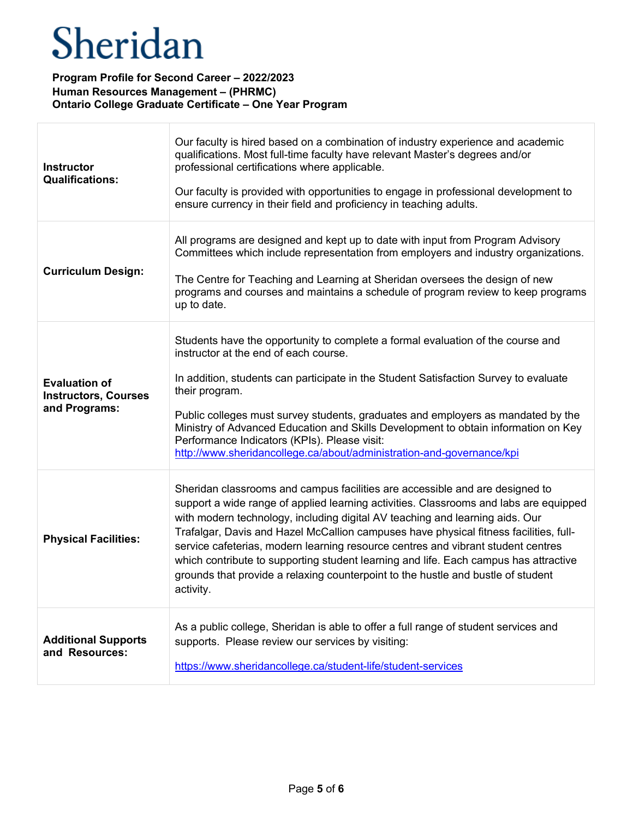| <b>Instructor</b><br><b>Qualifications:</b>                          | Our faculty is hired based on a combination of industry experience and academic<br>qualifications. Most full-time faculty have relevant Master's degrees and/or<br>professional certifications where applicable.<br>Our faculty is provided with opportunities to engage in professional development to<br>ensure currency in their field and proficiency in teaching adults.                                                                                                                                                                                                                                               |
|----------------------------------------------------------------------|-----------------------------------------------------------------------------------------------------------------------------------------------------------------------------------------------------------------------------------------------------------------------------------------------------------------------------------------------------------------------------------------------------------------------------------------------------------------------------------------------------------------------------------------------------------------------------------------------------------------------------|
| <b>Curriculum Design:</b>                                            | All programs are designed and kept up to date with input from Program Advisory<br>Committees which include representation from employers and industry organizations.<br>The Centre for Teaching and Learning at Sheridan oversees the design of new<br>programs and courses and maintains a schedule of program review to keep programs<br>up to date.                                                                                                                                                                                                                                                                      |
| <b>Evaluation of</b><br><b>Instructors, Courses</b><br>and Programs: | Students have the opportunity to complete a formal evaluation of the course and<br>instructor at the end of each course.<br>In addition, students can participate in the Student Satisfaction Survey to evaluate<br>their program.<br>Public colleges must survey students, graduates and employers as mandated by the<br>Ministry of Advanced Education and Skills Development to obtain information on Key<br>Performance Indicators (KPIs). Please visit:<br>http://www.sheridancollege.ca/about/administration-and-governance/kpi                                                                                       |
| <b>Physical Facilities:</b>                                          | Sheridan classrooms and campus facilities are accessible and are designed to<br>support a wide range of applied learning activities. Classrooms and labs are equipped<br>with modern technology, including digital AV teaching and learning aids. Our<br>Trafalgar, Davis and Hazel McCallion campuses have physical fitness facilities, full-<br>service cafeterias, modern learning resource centres and vibrant student centres<br>which contribute to supporting student learning and life. Each campus has attractive<br>grounds that provide a relaxing counterpoint to the hustle and bustle of student<br>activity. |
| <b>Additional Supports</b><br>and Resources:                         | As a public college, Sheridan is able to offer a full range of student services and<br>supports. Please review our services by visiting:<br>https://www.sheridancollege.ca/student-life/student-services                                                                                                                                                                                                                                                                                                                                                                                                                    |